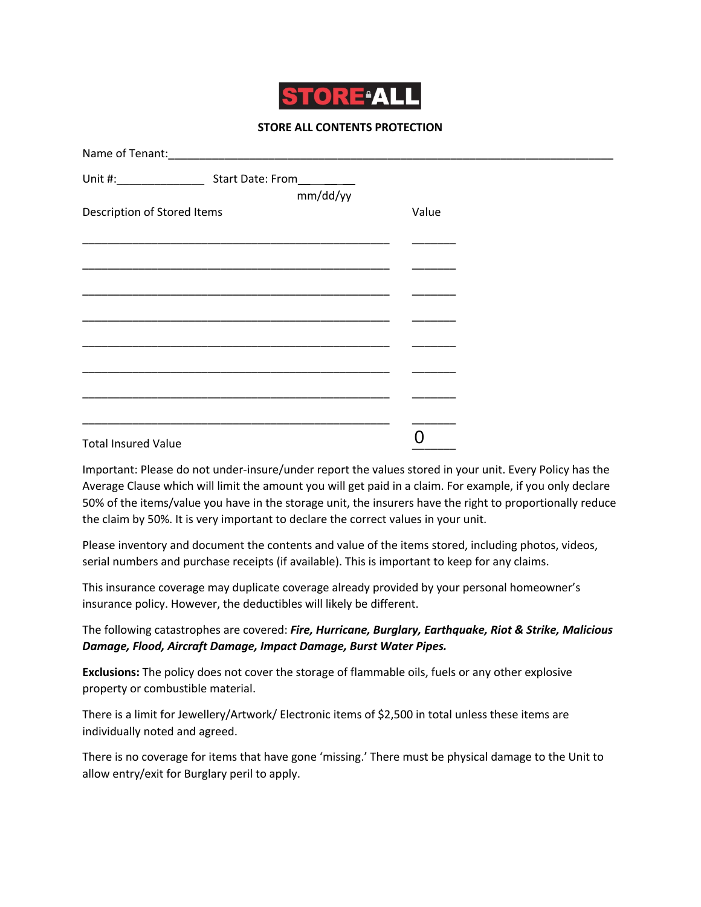

## **STORE ALL CONTENTS PROTECTION**

|                             |                                                                                                                      | mm/dd/yy |       |  |
|-----------------------------|----------------------------------------------------------------------------------------------------------------------|----------|-------|--|
| Description of Stored Items |                                                                                                                      |          | Value |  |
|                             |                                                                                                                      |          |       |  |
|                             | <u> 1989 - Johann John Harry Harry Harry Harry Harry Harry Harry Harry Harry Harry Harry Harry Harry Harry Harry</u> |          |       |  |
|                             |                                                                                                                      |          |       |  |
|                             |                                                                                                                      |          |       |  |
|                             |                                                                                                                      |          |       |  |
|                             |                                                                                                                      |          |       |  |
|                             |                                                                                                                      |          |       |  |
|                             |                                                                                                                      |          |       |  |
|                             |                                                                                                                      |          |       |  |
|                             |                                                                                                                      |          |       |  |
|                             |                                                                                                                      |          |       |  |
| <b>Total Insured Value</b>  |                                                                                                                      |          |       |  |

Important: Please do not under-insure/under report the values stored in your unit. Every Policy has the Average Clause which will limit the amount you will get paid in a claim. For example, if you only declare 50% of the items/value you have in the storage unit, the insurers have the right to proportionally reduce the claim by 50%. It is very important to declare the correct values in your unit.

Please inventory and document the contents and value of the items stored, including photos, videos, serial numbers and purchase receipts (if available). This is important to keep for any claims.

This insurance coverage may duplicate coverage already provided by your personal homeowner's insurance policy. However, the deductibles will likely be different.

The following catastrophes are covered: *Fire, Hurricane, Burglary, Earthquake, Riot & Strike, Malicious Damage, Flood, Aircraft Damage, Impact Damage, Burst Water Pipes.*

**Exclusions:** The policy does not cover the storage of flammable oils, fuels or any other explosive property or combustible material.

There is a limit for Jewellery/Artwork/ Electronic items of \$2,500 in total unless these items are individually noted and agreed.

There is no coverage for items that have gone 'missing.' There must be physical damage to the Unit to allow entry/exit for Burglary peril to apply.